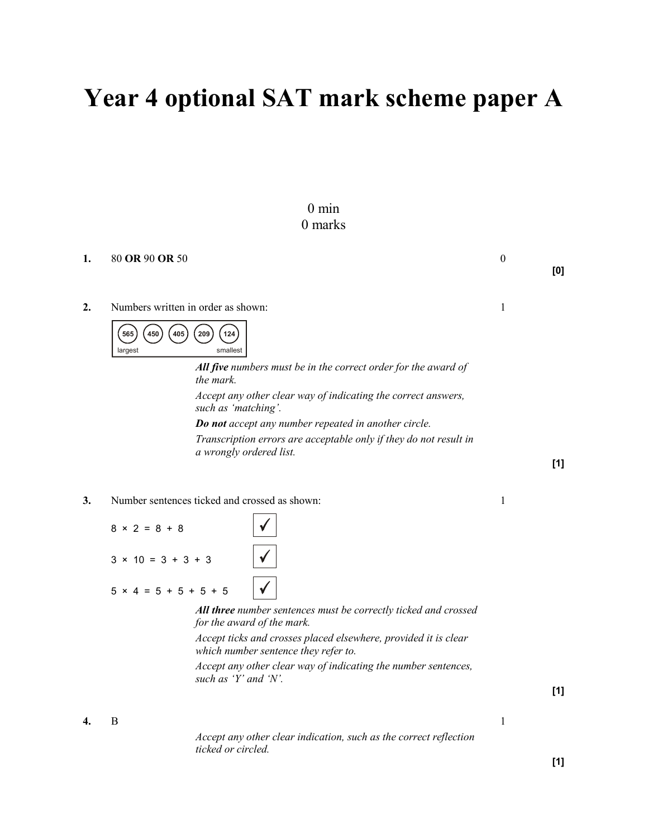# Year 4 optional SAT mark scheme paper A

## 0 min 0 marks

| 1.               | 80 OR 90 OR 50                     |                                                                                                         | $\boldsymbol{0}$ | [0] |
|------------------|------------------------------------|---------------------------------------------------------------------------------------------------------|------------------|-----|
| $\overline{2}$ . | Numbers written in order as shown: |                                                                                                         | 1                |     |
|                  | 405<br>450<br>565<br>largest       | 209<br>124<br>smallest                                                                                  |                  |     |
|                  |                                    | All five numbers must be in the correct order for the award of<br>the mark.                             |                  |     |
|                  |                                    | Accept any other clear way of indicating the correct answers,<br>such as 'matching'.                    |                  |     |
|                  |                                    | Do not accept any number repeated in another circle.                                                    |                  |     |
|                  |                                    | Transcription errors are acceptable only if they do not result in<br>a wrongly ordered list.            |                  |     |
|                  |                                    |                                                                                                         |                  | [1] |
| 3.               |                                    | Number sentences ticked and crossed as shown:                                                           | 1                |     |
|                  | $8 \times 2 = 8 + 8$               |                                                                                                         |                  |     |
|                  | $3 \times 10 = 3 + 3 + 3$          |                                                                                                         |                  |     |
|                  | $5 \times 4 = 5 + 5 + 5 + 5$       |                                                                                                         |                  |     |
|                  |                                    | All three number sentences must be correctly ticked and crossed<br>for the award of the mark.           |                  |     |
|                  |                                    | Accept ticks and crosses placed elsewhere, provided it is clear<br>which number sentence they refer to. |                  |     |
|                  |                                    | Accept any other clear way of indicating the number sentences,<br>such as 'Y' and 'N'.                  |                  |     |
|                  |                                    |                                                                                                         |                  | [1] |
| 4.               | $\mathbf B$                        |                                                                                                         | 1                |     |
|                  |                                    | Accept any other clear indication, such as the correct reflection                                       |                  |     |
|                  |                                    | ticked or circled.                                                                                      |                  | [1] |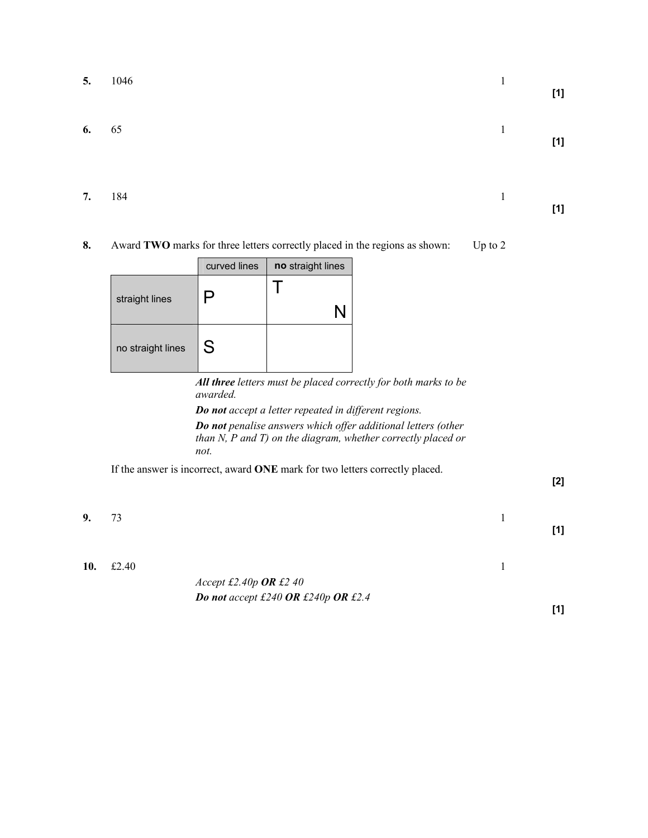|         | 5. 1046 | $[1]$ |
|---------|---------|-------|
| 6. $65$ |         | $[1]$ |

**7.** 184 1

8. Award TWO marks for three letters correctly placed in the regions as shown: Up to 2

|                   | curved lines | no straight lines |
|-------------------|--------------|-------------------|
| straight lines    | پ            |                   |
| no straight lines | S            |                   |

All three letters must be placed correctly for both marks to be awarded.

Do not accept a letter repeated in different regions. Do not penalise answers which offer additional letters (other than N, P and T) on the diagram, whether correctly placed or not.

If the answer is incorrect, award ONE mark for two letters correctly placed.

[2]

[1]

[1]

**9.**  $73$  1

**10.** £2.40 **1** 

Accept £2.40p OR £2 40 Do not accept £240 OR £240p OR £2.4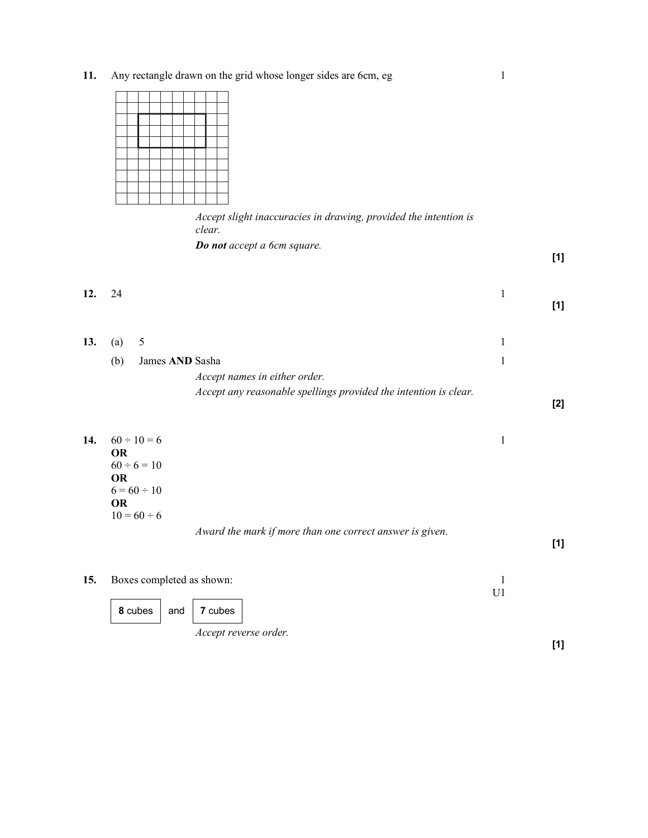11. Any rectangle drawn on the grid whose longer sides are 6cm, eg 1

Accept slight inaccuracies in drawing, provided the intention is clear.

Do not accept a 6cm square.

[1]

| 12. 24 | $\sim$ 1 |     |
|--------|----------|-----|
|        |          | [1] |

| 13. | (a) | $\mathcal{L}$                                                    |  |
|-----|-----|------------------------------------------------------------------|--|
|     | (b) | James AND Sasha                                                  |  |
|     |     | Accept names in either order.                                    |  |
|     |     | Accept any reasonable spellings provided the intention is clear. |  |
|     |     |                                                                  |  |

| 14. | $60 \div 10 = 6$ |                                                          |     |
|-----|------------------|----------------------------------------------------------|-----|
|     | <b>OR</b>        |                                                          |     |
|     | $60 \div 6 = 10$ |                                                          |     |
|     | <b>OR</b>        |                                                          |     |
|     | $6 = 60 \div 10$ |                                                          |     |
|     | <b>OR</b>        |                                                          |     |
|     | $10 = 60 \div 6$ |                                                          |     |
|     |                  | Award the mark if more than one correct answer is given. |     |
|     |                  |                                                          | [1] |
|     |                  |                                                          |     |

| 15. | Boxes completed as shown: |                              |  |
|-----|---------------------------|------------------------------|--|
|     | 8 cubes                   | and $\vert$ 7 cubes          |  |
|     |                           | <i>Accept reverse order.</i> |  |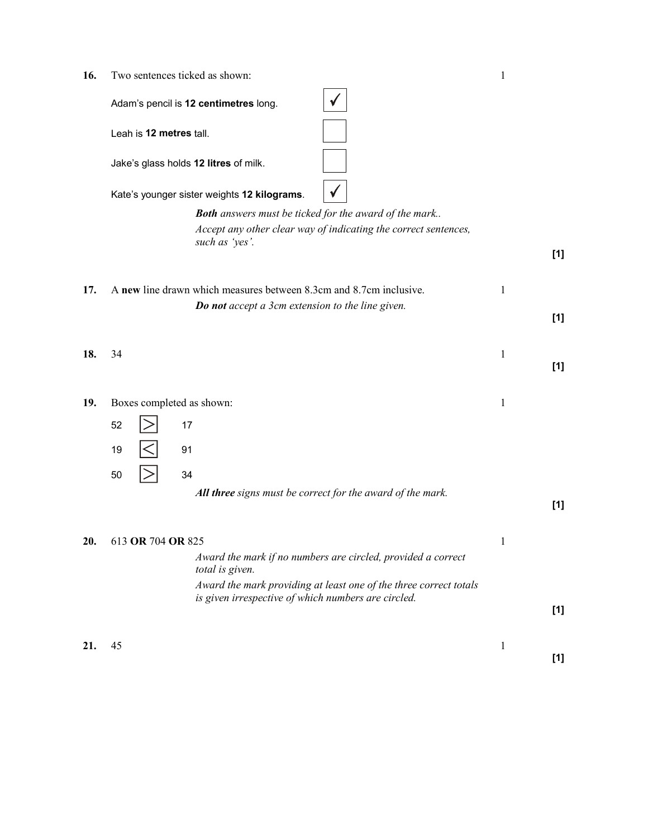16. Two sentences ticked as shown: 1

|     | Adam's pencil is 12 centimetres long.                                             |              |       |
|-----|-----------------------------------------------------------------------------------|--------------|-------|
|     | Leah is 12 metres tall.                                                           |              |       |
|     | Jake's glass holds 12 litres of milk.                                             |              |       |
|     | Kate's younger sister weights 12 kilograms.                                       |              |       |
|     | <b>Both</b> answers must be ticked for the award of the mark                      |              |       |
|     | Accept any other clear way of indicating the correct sentences,<br>such as 'yes'. |              |       |
|     |                                                                                   |              | [1]   |
| 17. | A new line drawn which measures between 8.3cm and 8.7cm inclusive.                | 1            |       |
|     | Do not accept a 3cm extension to the line given.                                  |              |       |
|     |                                                                                   |              | [1]   |
|     |                                                                                   |              |       |
| 18. | 34                                                                                | 1            |       |
|     |                                                                                   |              | [1]   |
|     |                                                                                   |              |       |
| 19. | Boxes completed as shown:                                                         | $\mathbf{1}$ |       |
|     |                                                                                   |              |       |
|     | 52<br>17                                                                          |              |       |
|     | 19<br>91                                                                          |              |       |
|     |                                                                                   |              |       |
|     | 34<br>50                                                                          |              |       |
|     | All three signs must be correct for the award of the mark.                        |              |       |
|     |                                                                                   |              | [1]   |
|     |                                                                                   |              |       |
| 20. | 613 OR 704 OR 825                                                                 | 1            |       |
|     | Award the mark if no numbers are circled, provided a correct                      |              |       |
|     | total is given.                                                                   |              |       |
|     | Award the mark providing at least one of the three correct totals                 |              |       |
|     | is given irrespective of which numbers are circled.                               |              | $[1]$ |
|     |                                                                                   |              |       |
|     |                                                                                   |              |       |
| 21. | 45                                                                                | $\mathbf{1}$ | $[1]$ |
|     |                                                                                   |              |       |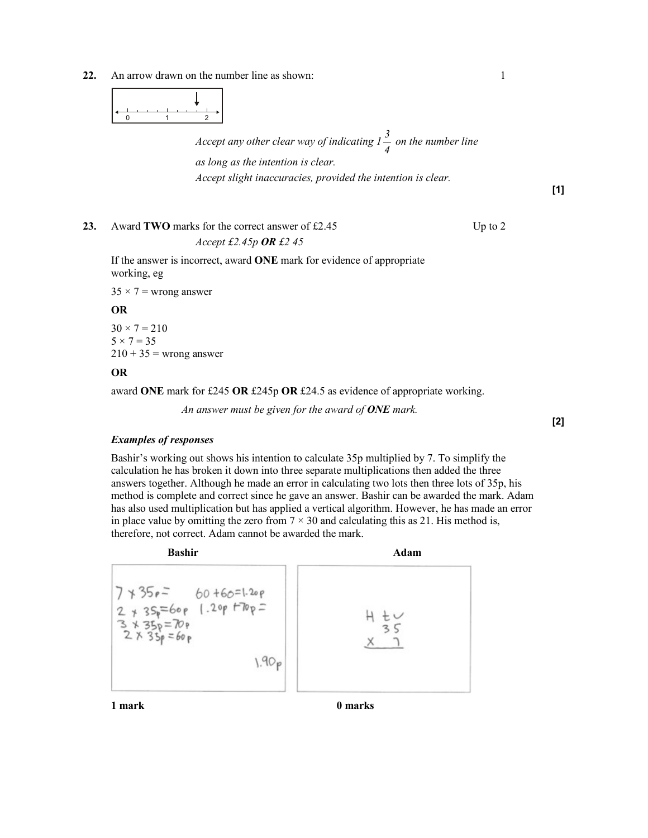22. An arrow drawn on the number line as shown: 1



Accept any other clear way of indicating 1 4  $\frac{3}{2}$  on the number line

as long as the intention is clear.

Accept slight inaccuracies, provided the intention is clear.

[1]

23. Award TWO marks for the correct answer of £2.45 Up to 2 Accept  $\text{\textsterling}2.45p$  OR  $\text{\textsterling}245$ 

 If the answer is incorrect, award ONE mark for evidence of appropriate working, eg

 $35 \times 7$  = wrong answer

#### OR

 $30 \times 7 = 210$  $5 \times 7 = 35$  $210 + 35$  = wrong answer

### OR

award ONE mark for £245 OR £245p OR £24.5 as evidence of appropriate working.

An answer must be given for the award of  $\overline{ONE}$  mark.

[2]

#### Examples of responses

 Bashir's working out shows his intention to calculate 35p multiplied by 7. To simplify the calculation he has broken it down into three separate multiplications then added the three answers together. Although he made an error in calculating two lots then three lots of 35p, his method is complete and correct since he gave an answer. Bashir can be awarded the mark. Adam has also used multiplication but has applied a vertical algorithm. However, he has made an error in place value by omitting the zero from  $7 \times 30$  and calculating this as 21. His method is, therefore, not correct. Adam cannot be awarded the mark.



1 mark 1 marks 1 marks 1 marks 2 marks 2 marks 2 marks 2 marks 2 marks 2 marks 2 marks 2 marks 2 marks 2 marks 2 marks 2 marks 2 marks 2 marks 2 marks 2 marks 2 marks 2 marks 2 marks 2 marks 2 marks 2 marks 2 marks 2 marks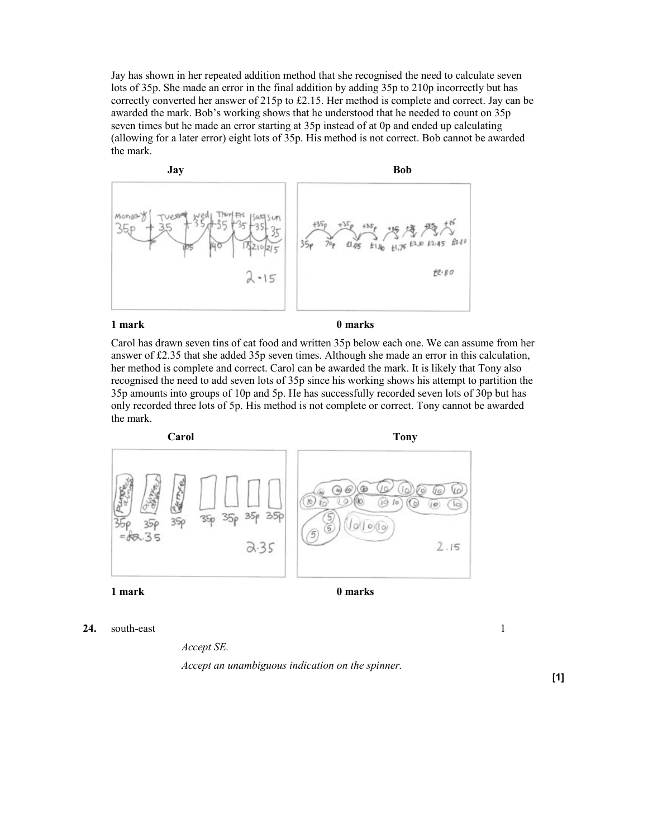Jay has shown in her repeated addition method that she recognised the need to calculate seven lots of 35p. She made an error in the final addition by adding 35p to 210p incorrectly but has correctly converted her answer of 215p to £2.15. Her method is complete and correct. Jay can be awarded the mark. Bob's working shows that he understood that he needed to count on 35p seven times but he made an error starting at 35p instead of at 0p and ended up calculating (allowing for a later error) eight lots of 35p. His method is not correct. Bob cannot be awarded the mark.



 Carol has drawn seven tins of cat food and written 35p below each one. We can assume from her answer of £2.35 that she added 35p seven times. Although she made an error in this calculation, her method is complete and correct. Carol can be awarded the mark. It is likely that Tony also recognised the need to add seven lots of 35p since his working shows his attempt to partition the 35p amounts into groups of 10p and 5p. He has successfully recorded seven lots of 30p but has only recorded three lots of 5p. His method is not complete or correct. Tony cannot be awarded the mark.



24. south-east  $1$ 

Accept SE.

Accept an unambiguous indication on the spinner.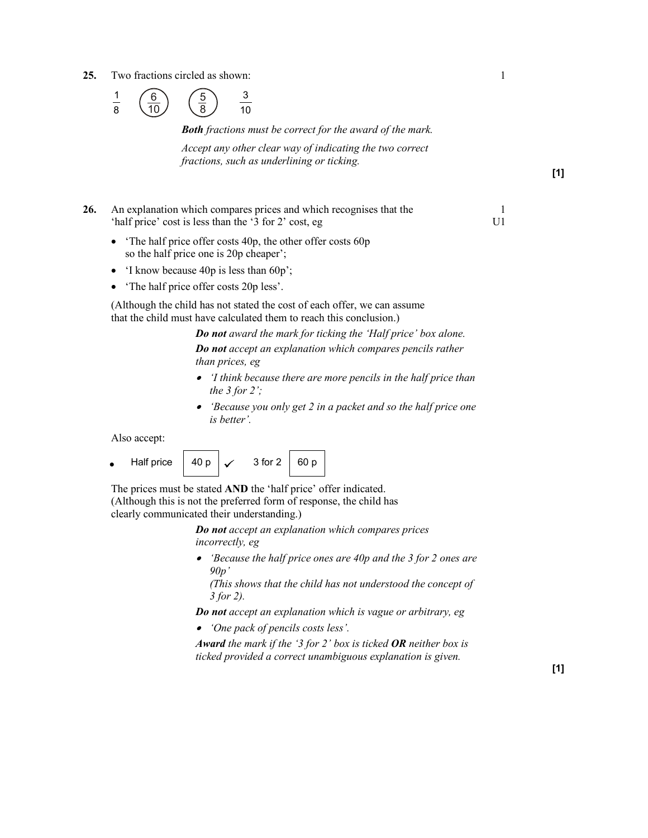25. Two fractions circled as shown: 1



Both fractions must be correct for the award of the mark.

Accept any other clear way of indicating the two correct fractions, such as underlining or ticking.

- 26. An explanation which compares prices and which recognises that the 1 'half price' cost is less than the '3 for 2' cost, eg U1
	- 'The half price offer costs 40p, the other offer costs 60p so the half price one is 20p cheaper';
	- 'I know because 40p is less than 60p';
	- The half price offer costs 20p less'.

 (Although the child has not stated the cost of each offer, we can assume that the child must have calculated them to reach this conclusion.)

> Do not award the mark for ticking the 'Half price' box alone. Do not accept an explanation which compares pencils rather than prices, eg

- 'I think because there are more pencils in the half price than the 3 for 2 $^{\prime}$ ;
- 'Because you only get 2 in a packet and so the half price one is better'.

Also accept:

Half price  $\begin{array}{|c|c|c|c|c|}\n\hline\n-40 p & \checkmark\n\end{array}$  3 for 2  $\begin{array}{|c|c|c|c|}\n\hline\n-360 p & \checkmark\n\end{array}$ 

 The prices must be stated AND the 'half price' offer indicated. (Although this is not the preferred form of response, the child has clearly communicated their understanding.)

> Do not accept an explanation which compares prices incorrectly, eg

• 'Because the half price ones are 40p and the 3 for 2 ones are  $90p'$ 

(This shows that the child has not understood the concept of 3 for 2).

Do not accept an explanation which is vague or arbitrary, eg

• 'One pack of pencils costs less'.

Award the mark if the '3 for 2' box is ticked OR neither box is ticked provided a correct unambiguous explanation is given.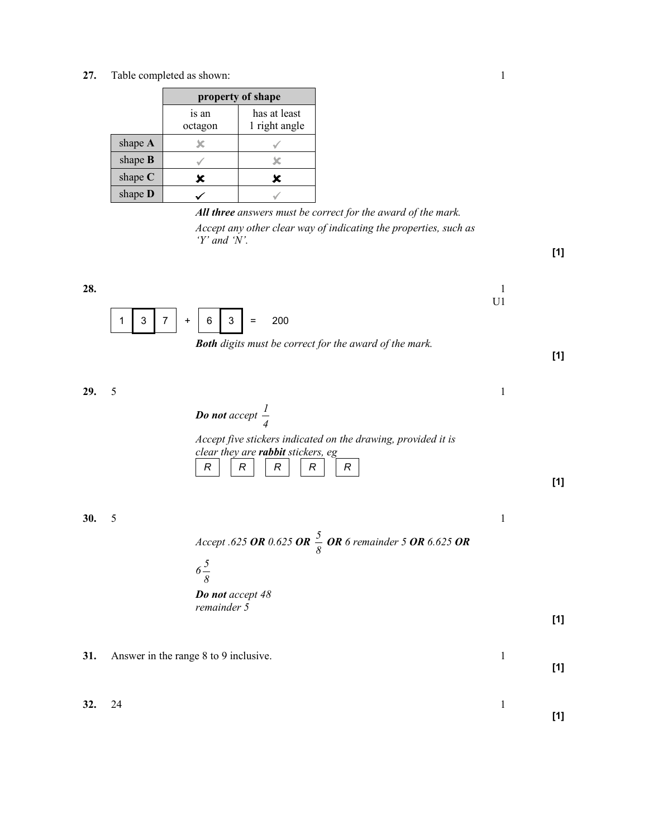27. Table completed as shown: 1

|           | property of shape |                               |  |
|-----------|-------------------|-------------------------------|--|
|           | is an<br>octagon  | has at least<br>1 right angle |  |
| shape $A$ |                   |                               |  |
| shape $B$ |                   |                               |  |
| shape $C$ | x                 | x                             |  |
| shape D   |                   |                               |  |

All three answers must be correct for the award of the mark. Accept any other clear way of indicating the properties, such as 'Y' and 'N'.

- 28.  $\blacksquare$ U1  $1 \mid 3 \mid 7 \mid + \mid 6 \mid 3 \mid = 200$ 
	- Both digits must be correct for the award of the mark.

**29.** 5 1 Do not accept 4 1 Accept five stickers indicated on the drawing, provided it is clear they are rabbit stickers, eg  $R \parallel R \parallel R \parallel R \parallel R$ 

**30.** 5 1

Accept .625 OR 0.625 OR  $\frac{3}{8}$  $\frac{5}{6}$  OR 6 remainder 5 OR 6.625 OR



31. Answer in the range 8 to 9 inclusive. 1



[1]

[1]

[1]

[1]